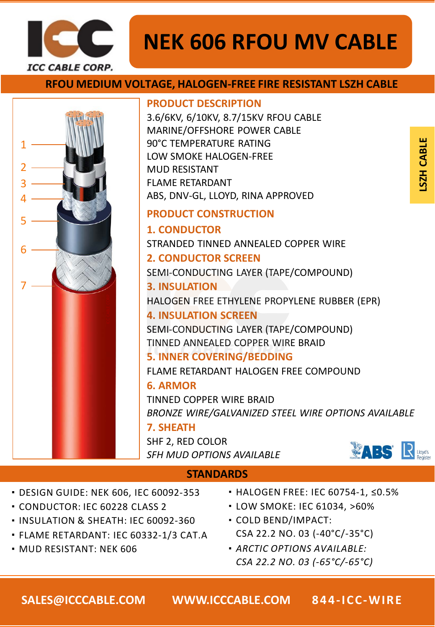

# **NEK 606 RFOU MV CABLE**

# **RFOU MEDIUM VOLTAGE, HALOGEN-FREE FIRE RESISTANT LSZH CABLE**



- ・DESIGN GUIDE: NEK 606, IEC 60092-353
- ・CONDUCTOR: IEC 60228 CLASS 2
- ・INSULATION & SHEATH: IEC 60092-360
- ・FLAME RETARDANT: IEC 60332-1/3 CAT.A
- ・MUD RESISTANT: NEK 606
- ・HALOGEN FREE: IEC 60754-1, ≤0.5%
- ・LOW SMOKE: IEC 61034, >60%
- ・COLD BEND/IMPACT: CSA 22.2 NO. 03 (-40°C/-35°C)
- ・*ARCTIC OPTIONS AVAILABLE: CSA 22.2 NO. 03 (-65°C/-65°C)*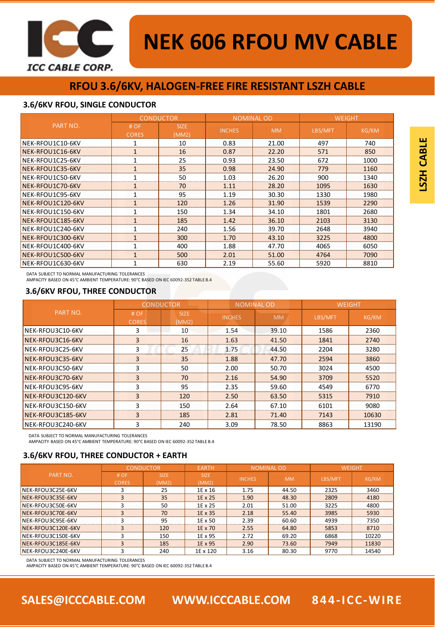

# **RFOU 3.6/6KV, HALOGEN-FREE FIRE RESISTANT LSZH CABLE**

### **3.6/6KV RFOU, SINGLE CONDUCTOR**

|                   | <b>CONDUCTOR</b>     |                      | <b>NOMINAL OD</b> |           | <b>WEIGHT</b> |              |
|-------------------|----------------------|----------------------|-------------------|-----------|---------------|--------------|
| PART NO.          | # OF<br><b>CORES</b> | <b>SIZE</b><br>(MM2) | <b>INCHES</b>     | <b>MM</b> | LBS/MFT       | <b>KG/KM</b> |
| NEK-RFOU1C10-6KV  |                      | 10                   | 0.83              | 21.00     | 497           | 740          |
| NEK-RFOU1C16-6KV  | 1                    | 16                   | 0.87              | 22.20     | 571           | 850          |
| NEK-RFOU1C25-6KV  | 1                    | 25                   | 0.93              | 23.50     | 672           | 1000         |
| NEK-RFOU1C35-6KV  | $\mathbf{1}$         | 35                   | 0.98              | 24.90     | 779           | 1160         |
| NEK-RFOU1C50-6KV  | $\mathbf{1}$         | 50                   | 1.03              | 26.20     | 900           | 1340         |
| NEK-RFOU1C70-6KV  | $\mathbf{1}$         | 70                   | 1.11              | 28.20     | 1095          | 1630         |
| NEK-RFOU1C95-6KV  | 1                    | 95                   | 1.19              | 30.30     | 1330          | 1980         |
| NEK-RFOU1C120-6KV | $\mathbf{1}$         | 120                  | 1.26              | 31.90     | 1539          | 2290         |
| NEK-RFOU1C150-6KV | 1                    | 150                  | 1.34              | 34.10     | 1801          | 2680         |
| NEK-RFOU1C185-6KV | $\mathbf{1}$         | 185                  | 1.42              | 36.10     | 2103          | 3130         |
| NEK-RFOU1C240-6KV |                      | 240                  | 1.56              | 39.70     | 2648          | 3940         |
| NEK-RFOU1C300-6KV | $\mathbf{1}$         | 300                  | 1.70              | 43.10     | 3225          | 4800         |
| NEK-RFOU1C400-6KV |                      | 400                  | 1.88              | 47.70     | 4065          | 6050         |
| NEK-RFOU1C500-6KV | $\mathbf{1}$         | 500                  | 2.01              | 51.00     | 4764          | 7090         |
| NEK-RFOU1C630-6KV | 1                    | 630                  | 2.19              | 55.60     | 5920          | 8810         |

DATA SUBJECT TO NORMAL MANUFACTURING TOLERANCES

AMPACITY BASED ON 45°C AMBIENT TEMPERATURE: 90°C BASED ON IEC 60092-352 TABLE B.4

## **3.6/6KV RFOU, THREE CONDUCTOR**

|                   | <b>CONDUCTOR</b>    |                      |               | <b>NOMINAL OD</b> | <b>WEIGHT</b> |              |
|-------------------|---------------------|----------------------|---------------|-------------------|---------------|--------------|
| PART NO.          | #OF<br><b>CORES</b> | <b>SIZE</b><br>(MM2) | <b>INCHES</b> | <b>MM</b>         | LBS/MFT       | <b>KG/KM</b> |
| NEK-RFOU3C10-6KV  | 3                   | 10                   | 1.54          | 39.10             | 1586          | 2360         |
| NEK-RFOU3C16-6KV  | 3                   | 16                   | 1.63          | 41.50             | 1841          | 2740         |
| NEK-RFOU3C25-6KV  | 3                   | 25                   | 1.75          | 44.50             | 2204          | 3280         |
| INEK-RFOU3C35-6KV | 3                   | 35                   | 1.88          | 47.70             | 2594          | 3860         |
| NEK-RFOU3C50-6KV  | 3                   | 50                   | 2.00          | 50.70             | 3024          | 4500         |
| NEK-RFOU3C70-6KV  | 3                   | 70                   | 2.16          | 54.90             | 3709          | 5520         |
| NEK-RFOU3C95-6KV  | 3                   | 95                   | 2.35          | 59.60             | 4549          | 6770         |
| NEK-RFOU3C120-6KV | 3                   | 120                  | 2.50          | 63.50             | 5315          | 7910         |
| NEK-RFOU3C150-6KV | 3                   | 150                  | 2.64          | 67.10             | 6101          | 9080         |
| NEK-RFOU3C185-6KV | 3                   | 185                  | 2.81          | 71.40             | 7143          | 10630        |
| NEK-RFOU3C240-6KV | 3                   | 240                  | 3.09          | 78.50             | 8863          | 13190        |

DATA SUBJECT TO NORMAL MANUFACTURING TOLERANCES

AMPACITY BASED ON 45°C AMBIENT TEMPERATURE: 90°C BASED ON IEC 60092-352 TABLE B.4

#### **3.6/6KV RFOU, THREE CONDUCTOR + EARTH**

|                    | <b>CONDUCTOR</b>       |                      | <b>EARTH</b>         | <b>NOMINAL OD</b> |           | <b>WEIGHT</b> |       |
|--------------------|------------------------|----------------------|----------------------|-------------------|-----------|---------------|-------|
| PART NO.           | # $OF$<br><b>CORES</b> | <b>SIZE</b><br>(MM2) | <b>SIZE</b><br>(MM2) | <b>INCHES</b>     | <b>MM</b> | LBS/MFT       | KG/KM |
| NEK-RFOU3C25E-6KV  |                        | 25                   | 1E x 16              | 1.75              | 44.50     | 2325          | 3460  |
|                    |                        |                      |                      |                   |           |               |       |
| NEK-RFOU3C35E-6KV  |                        | 35                   | 1E x 25              | 1.90              | 48.30     | 2809          | 4180  |
| NEK-RFOU3C50E-6KV  |                        | 50                   | 1E x 25              | 2.01              | 51.00     | 3225          | 4800  |
| INEK-RFOU3C70E-6KV |                        | 70                   | 1E x 35              | 2.18              | 55.40     | 3985          | 5930  |
| NEK-RFOU3C95E-6KV  |                        | 95                   | 1E x 50              | 2.39              | 60.60     | 4939          | 7350  |
| NEK-RFOU3C120E-6KV |                        | 120                  | 1E x 70              | 2.55              | 64.80     | 5853          | 8710  |
| NEK-RFOU3C150E-6KV |                        | 150                  | 1E x 95              | 2.72              | 69.20     | 6868          | 10220 |
| NEK-RFOU3C185E-6KV |                        | 185                  | 1E x 95              | 2.90              | 73.60     | 7949          | 11830 |
| NEK-RFOU3C240E-6KV |                        | 240                  | 1E x 120             | 3.16              | 80.30     | 9770          | 14540 |

DATA SUBJECT TO NORMAL MANUFACTURING TOLERANCES

AMPACITY BASED ON 45°C AMBIENT TEMPERATURE: 90°C BASED ON IEC 60092-352 TABLE B.4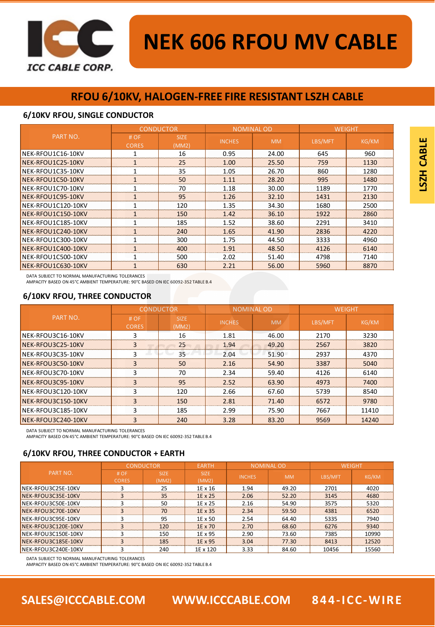

# **NEK 606 RFOU MV CABLE**

# **RFOU 6/10KV, HALOGEN-FREE FIRE RESISTANT LSZH CABLE**

#### **6/10KV RFOU, SINGLE CONDUCTOR**

|                    | <b>CONDUCTOR</b>     |                      |               | <b>NOMINAL OD</b> | <b>WEIGHT</b> |              |
|--------------------|----------------------|----------------------|---------------|-------------------|---------------|--------------|
| PART NO.           | # OF<br><b>CORES</b> | <b>SIZE</b><br>(MM2) | <b>INCHES</b> | <b>MM</b>         | LBS/MFT       | <b>KG/KM</b> |
| NEK-RFOU1C16-10KV  | 1                    | 16                   | 0.95          | 24.00             | 645           | 960          |
| NEK-RFOU1C25-10KV  | $\mathbf{1}$         | 25                   | 1.00          | 25.50             | 759           | 1130         |
| NEK-RFOU1C35-10KV  | $\mathbf{1}$         | 35                   | 1.05          | 26.70             | 860           | 1280         |
| NEK-RFOU1C50-10KV  | $\mathbf{1}$         | 50                   | 1.11          | 28.20             | 995           | 1480         |
| NEK-RFOU1C70-10KV  | 1                    | 70                   | 1.18          | 30.00             | 1189          | 1770         |
| NEK-RFOU1C95-10KV  | $\mathbf{1}$         | 95                   | 1.26          | 32.10             | 1431          | 2130         |
| NEK-RFOU1C120-10KV | $\mathbf{1}$         | 120                  | 1.35          | 34.30             | 1680          | 2500         |
| NEK-RFOU1C150-10KV | $\mathbf{1}$         | 150                  | 1.42          | 36.10             | 1922          | 2860         |
| NEK-RFOU1C185-10KV | $\mathbf{1}$         | 185                  | 1.52          | 38.60             | 2291          | 3410         |
| NEK-RFOU1C240-10KV | $\mathbf{1}$         | 240                  | 1.65          | 41.90             | 2836          | 4220         |
| NEK-RFOU1C300-10KV | 1                    | 300                  | 1.75          | 44.50             | 3333          | 4960         |
| NEK-RFOU1C400-10KV | $\mathbf{1}$         | 400                  | 1.91          | 48.50             | 4126          | 6140         |
| NEK-RFOU1C500-10KV | $\mathbf{1}$         | 500                  | 2.02          | 51.40             | 4798          | 7140         |
| NEK-RFOU1C630-10KV | 1                    | 630                  | 2.21          | 56.00             | 5960          | 8870         |

DATA SUBJECT TO NORMAL MANUFACTURING TOLERANCES

AMPACITY BASED ON 45°C AMBIENT TEMPERATURE: 90°C BASED ON IEC 60092-352 TABLE B.4

## **6/10KV RFOU, THREE CONDUCTOR**

|                           |                     | <b>CONDUCTOR</b>     | <b>NOMINAL OD</b> |           | <b>WEIGHT</b> |              |
|---------------------------|---------------------|----------------------|-------------------|-----------|---------------|--------------|
| PART NO.                  | #OF<br><b>CORES</b> | <b>SIZE</b><br>(MM2) | <b>INCHES</b>     | <b>MM</b> | LBS/MFT       | <b>KG/KM</b> |
| NEK-RFOU3C16-10KV         | 3                   | 16                   | 1.81              | 46.00     | 2170          | 3230         |
| NEK-RFOU3C25-10KV         | 3                   | 25                   | 1.94              | 49.20     | 2567          | 3820         |
| NEK-RFOU3C35-10KV         |                     | 35                   | 2.04              | 51.90     | 2937          | 4370         |
| NEK-RFOU3C50-10KV         | 3                   | 50                   | 2.16              | 54.90     | 3387          | 5040         |
| NEK-RFOU3C70-10KV         | 3                   | 70                   | 2.34              | 59.40     | 4126          | 6140         |
| <b>INEK-RFOU3C95-10KV</b> | 3                   | 95                   | 2.52              | 63.90     | 4973          | 7400         |
| NEK-RFOU3C120-10KV        | 3                   | 120                  | 2.66              | 67.60     | 5739          | 8540         |
| NEK-RFOU3C150-10KV        | 3                   | 150                  | 2.81              | 71.40     | 6572          | 9780         |
| NEK-RFOU3C185-10KV        | 3                   | 185                  | 2.99              | 75.90     | 7667          | 11410        |
| NEK-RFOU3C240-10KV        | 3                   | 240                  | 3.28              | 83.20     | 9569          | 14240        |

DATA SUBJECT TO NORMAL MANUFACTURING TOLERANCES

AMPACITY BASED ON 45°C AMBIENT TEMPERATURE: 90°C BASED ON IEC 60092-352 TABLE B.4

### **6/10KV RFOU, THREE CONDUCTOR + EARTH**

|                     | <b>CONDUCTOR</b>    |                      | <b>EARTH</b>  | <b>NOMINAL OD</b> |           | <b>WEIGHT</b> |       |
|---------------------|---------------------|----------------------|---------------|-------------------|-----------|---------------|-------|
| PART NO.            | #OF<br><b>CORES</b> | <b>SIZE</b><br>(MM2) | SIZE<br>(MM2) | <b>INCHES</b>     | <b>MM</b> | LBS/MFT       | KG/KM |
| NEK-RFOU3C25E-10KV  |                     | 25                   | 1E x 16       | 1.94              | 49.20     | 2701          | 4020  |
| NEK-RFOU3C35E-10KV  |                     | 35                   | 1E x 25       | 2.06              | 52.20     | 3145          | 4680  |
| NEK-RFOU3C50E-10KV  |                     | 50                   | 1E x 25       | 2.16              | 54.90     | 3575          | 5320  |
| NEK-RFOU3C70E-10KV  |                     | 70                   | 1E x 35       | 2.34              | 59.50     | 4381          | 6520  |
| NEK-RFOU3C95E-10KV  |                     | 95                   | 1E x 50       | 2.54              | 64.40     | 5335          | 7940  |
| NEK-RFOU3C120E-10KV |                     | 120                  | 1E x 70       | 2.70              | 68.60     | 6276          | 9340  |
| NEK-RFOU3C150E-10KV |                     | 150                  | 1E x 95       | 2.90              | 73.60     | 7385          | 10990 |
| NEK-RFOU3C185E-10KV |                     | 185                  | 1E x 95       | 3.04              | 77.30     | 8413          | 12520 |
| NEK-RFOU3C240E-10KV |                     | 240                  | 1E x 120      | 3.33              | 84.60     | 10456         | 15560 |

DATA SUBJECT TO NORMAL MANUFACTURING TOLERANCES

AMPACITY BASED ON 45°C AMBIENT TEMPERATURE: 90°C BASED ON IEC 60092-352 TABLE B.4

**SALES@ICCCABLE.COM WWW.ICCCABLE.COM 844-ICC-WIRE**